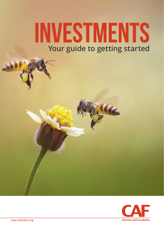### **INVESTMENTS Your guide to getting started**

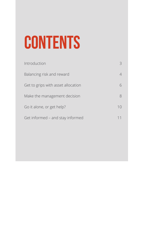## **CONTENTS**

| Introduction                       |    |
|------------------------------------|----|
| Balancing risk and reward          |    |
| Get to grips with asset allocation | 6  |
| Make the management decision       | 8  |
| Go it alone, or get help?          | 10 |
| Get informed – and stay informed   | 11 |
|                                    |    |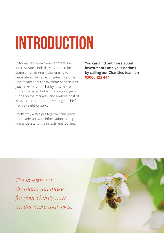# **INTRODUCTION**

In today's economic environment, low interest rates look likely to remain for some time, making it challenging to generate sustainable, long-term returns. This means that the investment decisions you make for your charity now matter more than ever. But with a huge range of funds on the market – and a whole host of ways to access them – investing can be far from straightforward.

That's why we've put together this guide to provide you with information to help you understand the investment journey. **You can find out more about investments and your options by calling our Charities team on 03000 123 444.**

*The investment decisions you make for your charity now matter more than ever.*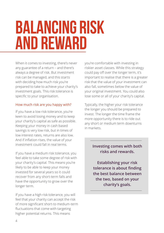### **BALANCING RISK AND REWARD**

When it comes to investing, there's never any guarantee of a return – and there's always a degree of risk. But investment risk can be managed, and this starts with deciding how much risk you're prepared to take to achieve your charity's investment goals. This risk tolerance is specific to your organisation.

#### How much risk are you happy with?

If you have a low risk tolerance, you're keen to avoid losing money and to keep your charity's capital as safe as possible. Keeping your money in cash based savings is very low risk, but in times of low interest rates, returns are also low. And if inflation rises, the value of your investment could fall in real terms.

If you have a medium risk tolerance, you feel able to take some degree of risk with your charity's capital. This means you're likely to be able to keep your money invested for several years so it could recover from any short-term falls and have the opportunity to grow over the longer term.

If you have a high risk tolerance, you will feel that your charity can accept the risk of more significant short-to medium-term fluctuations that come with targeting higher potential returns. This means

you're comfortable with investing in riskier asset classes. While this strategy could pay off over the longer term, it's important to realise that there is a greater risk that the value of your investment can also fall, sometimes below the value of your original investment. You could also lose some or all of your charity's capital.

Typically, the higher your risk tolerance the longer you should be prepared to invest. The longer the time frame the more opportunity there is to ride out any short or medium term downturns in markets.

#### **Investing comes with both risks and rewards.**

**Establishing your risk tolerance is about finding the best balance between the two, based on your charity's goals.**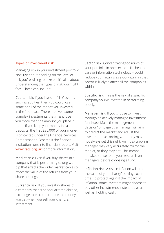#### Types of investment risk

Managing risk in your investment portfolio isn't just about deciding on the level of risk you're willing to take on; it's also about understanding the types of risk you might face. These can include:

Capital risk: If you invest in 'risk' assets, such as equities, then you could lose some or all of the money you invested in the first place. There are even some complex investments that might lose you more than the amount you place in them. If you keep your money in cash deposits, the first £85,000 of your money is protected under the Financial Services Compensation Scheme if the financial institution runs into financial trouble. Visit www.fscs.org.uk for more information.

Market risk: Even if you buy shares in a company that is performing strongly, a dip that affects the wider market can also affect the value of the returns from your share holdings.

Currency risk: If you invest in shares of a company that is headquartered abroad, exchange rates could reduce the money you get when you sell your charity's investment.

Sector risk: Concentrating too much of your portfolio in one sector – like health care or information technology – could reduce your returns as a downturn in that sector is likely to affect all the companies within it.

Specific risk: This is the risk of a specific company you've invested in performing poorly.

Manager risk: If you choose to invest through an actively managed investment fund (see 'Make the management decision' on page 8), a manager will aim to predict the market and adjust the investments accordingly, but they may not always get this right. An index tracking manager may very accurately mirror the market, or they may not. This means it makes sense to do your research on managers before choosing a fund.

Inflation risk: A rise in inflation will erode the value of your charity's savings over time. To protect against the impact of inflation, some investors might choose to buy other investments instead of, or as well as, holding cash.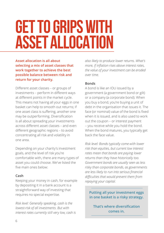### **GET TO GRIPS WITH ASSET ALLOCATION**

**Asset allocation is all about selecting a mix of asset classes that work together to achieve the best possible balance between risk and return for your charity.**

Different asset classes – or groups of investments – perform in different ways at different points in the market cycle. This means not having all your eggs in one basket can help to smooth out returns; if one asset class is suffering, another one may be outperforming. Diversification is all about spreading your investments across different asset classes – and even different geographic regions – to avoid concentrating all risk and volatility in one area.

Depending on your charity's investment goals, and the level of risk you're comfortable with, there are many types of asset you could choose. We've listed the five main ones below:

#### **Cash**

Keeping your money in cash, for example by depositing it in a bank account is a straightforward way of investing that requires no special expertise.

*Risk level: Generally speaking, cash is the lowest-risk of all investments. But with interest rates currently still very low, cash is* 

*also likely to produce lower returns. What's more, if inflation rises above interest rates, the value of your investment can be eroded over time.* 

#### **Bonds**

A bond is like an IOU issued by a government (a government bond or gilt) or a company (a corporate bond). When you buy a bond, you're buying a unit of debt in the organisation that issues it. The face (or nominal) value of the bond is fixed when it is issued, and is also used to work out the coupon – or interest payment – you receive while you hold the bond. When the bond matures, you typically get back the face value.

*Risk level: Bonds typically come with lower risk than equities, but current low interest rates mean that bonds are paying lower returns than they have historically too. Government bonds are usually seen as less risky than corporate bonds, as governments are less likely to run into serious financial difficulties that would prevent them from repaying your capital.*

**Putting all your investment eggs in one basket is a risky strategy.** 

**That's where diversification comes in.**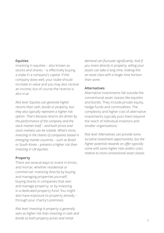#### **Equities**

Investing in equities – also known as stocks and shares – is effectively buying a stake in a company's capital. If the company does well, your stake should increase in value and you may also receive an income, but of course the reverse is also true.

*Risk level: Equities can generate higher returns than cash, bonds or property, but they also typically represent a higher-risk option. That's because returns are driven by the performance of the company and the stock market itself – and both prices and stock markets can be volatile. What's more, investing in the shares of companies based in emerging market countries – such as Brazil or South Korea – presents a higher risk than investing in UK equities.*

#### **Property**

There are several ways to invest in bricks and mortar, whether residential or commercial: investing directly by buying and managing properties yourself; buying shares in companies that own and manage property; or by investing in a dedicated property fund. You might also have exposure to property already – through your charity's premises.

*Risk level: Investing in property is generally seen as higher risk than investing in cash and bonds as both property prices and rental* 

*demand can fluctuate significantly. And if you invest directly in property, selling your assets can take a long time, making this an asset class with a longer time horizon than some.*

#### **Alternatives**

Alternative investments fall outside the conventional asset classes like equities and bonds. They include private equity, hedge funds and commodities. The complexity and higher cost of alternative investments typically puts them beyond the reach of individual investors and smaller organisations.

*Risk level: Alternatives can provide some lucrative investment opportunities, but the higher potential rewards on offer typically come with some higher risks and/or costs relative to more conventional asset classes.*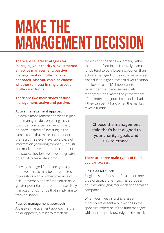## **MAKE THE MANAGEMENT DECISION**

**There are several strategies for managing your charity's investments: an active management, passive management or multi-manager approach. And you can also choose whether to invest in single-asset or multi-asset funds.**

#### **There are two main styles of fund management: active and passive.**

#### **Active management approach**

An active management approach is just that: managers do everything they can to outperform a certain benchmark, or index. Instead of investing in the same stocks that make up that index, they scrutinise every available piece of information (including company, industry and market developments) to pinpoint the stocks they believe have the greatest potential to generate a profit.

Actively managed funds are typically more volatile, so may be better suited to investors with a higher tolerance of risk. Conversely, these funds often have greater potential for profit than passively managed funds (funds that simply aim to track an index).

#### Passive management approach

A passive management approach is the polar opposite, aiming to match the

returns of a specific benchmark, rather than outperforming it. Passively managed funds tend to be a lower-risk option than actively managed funds in the same asset class due to higher levels of diversification and lower costs. It's important to remember that because passively managed funds match the performance of the index – in good times and in bad – they can be hit hard when the market takes a tumble.

> **Choose the management style that's best aligned to your charity's goals and risk tolerance.**

#### **There are three main types of fund you can access:**

#### **Single-asset funds**

Single-assets funds are focused on one type of asset alone – such as European equities, emerging market debt or smaller companies.

When you invest in a single-asset fund, you're essentially investing in the specialist expertise of the fund manager: with an in-depth knowledge of the market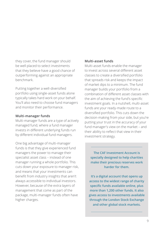they cover, the fund manager should be well placed to select investments that they believe have a good chance of outperforming against an appropriate benchmark.

Putting together a well-diversified portfolio using single-asset funds alone typically takes hard work on your behalf. You'll also need to choose fund managers and monitor their performance.

#### **Multi-manager funds**

Multi-manager funds are a type of actively managed fund, where a fund manager invests in different underlying funds run by different individual fund managers.

One big advantage of multi-manager funds is that they give experienced fund managers the power to manage their specialist asset class – instead of one manager running a whole portfolio. This cuts down your exposure to manager risk, and means that your investments can benefit from industry insights that aren't always accessible to individual investors. However, because of the extra layers of management that come as part of the package, multi-manager funds often have higher charges.

#### **Multi-asset funds**

Multi-asset funds enable the manager to invest across several different asset classes to create a diversified portfolio that spreads risk and keeps the impact of market dips to a minimum. The fund manager builds your portfolio from a combination of different asset classes with the aim of achieving the fund's specific investment goals. In a nutshell, multi-asset funds are your ready-made route to a diversified portfolio. This cuts down the decision-making from your side, but you're putting your trust in the accuracy of your fund manager's view on the market – and their ability to reflect that view in their investment strategy.

**The CAF Investment Account is specially designed to help charities make their precious reserves work harder for them.** 

**It's a digital account that opens up access to the widest range of charity specific funds available online, plus more than 1,200 other funds. It also gives access to investments available through the London Stock Exchange and other global stock markets.**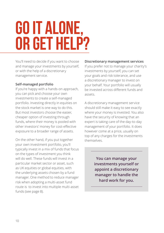## **GO IT ALONE, OR GET HELP?**

You'll need to decide if you want to choose and manage your investments by yourself, or with the help of a discretionary management service.

#### **Self-managed portfolio**

If you're happy with a hands-on approach, you can pick and choose your own investments to create a self-managed portfolio. Investing directly in equities on the stock market is one way to do this. But most investors choose the easier, cheaper option of investing through funds, where their money is pooled with other investors' money for cost-effective exposure to a broader range of assets.

On the other hand, if you put together your own investment portfolio, you'll typically invest in a mix of funds that focus on the types of investment you think will do well. These funds will invest in a particular market sector or asset, such as UK equities or global equities, with the underlying assets chosen by a fund manager. One method to reduce manager risk when adopting a multi-asset fund route is to invest into multiple multi-asset funds (see page 8).

#### **Discretionary management services**

If you prefer not to manage your charity's investments by yourself, you can set your goals and risk tolerance, and use a discretionary manager to invest on your behalf. Your portfolio will usually be invested across different funds and assets.

A discretionary management service should still make it easy to see exactly where your money is invested. You also have the security of knowing that an expert is taking care of the day-to-day management of your portfolio. It does however come at a price, usually on top of any charges for the investments themselves.

> **You can manage your investments yourself or appoint a discretionary manager to handle the hard work for you.**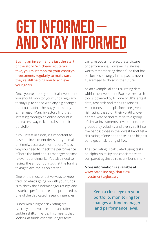## **GET INFORMED – AND STAY INFORMED**

Buying an investment is just the start of the story. Whichever route you take, you must monitor your charity's investments regularly to make sure they're still helping you to achieve your goals.

Once you've made your initial investment, you should monitor your funds regularly to stay up to speed with any big changes that could affect the way your money is managed. Many investors find that investing through an online account is the easiest way to keep tabs on their portfolio.

If you invest in funds, it's important to base the investment decisions you make on timely, accurate information. That's why you need to check the performance of both the fund and its manager against relevant benchmarks. You also need to review the amount of risk that the fund is taking to achieve its objectives.

One of the most effective ways to keep track of what's going on with your funds is to check the fund/manager ratings and historical performance data produced by one of the dedicated research agencies.

Funds with a higher risk rating are typically more volatile and can suffer sudden shifts in value. This means that looking at funds over the longer term

can give you a more accurate picture of performance. However, it's always worth remembering that a fund that has performed strongly in the past is never guaranteed to do so in the future.

As an example, all the risk rating data within the Investment Explorer research tool is powered by FE, one of UK's largest data, research and ratings agencies. Most funds on the platform are given a risk rating based on their volatility over a three-year period relative to a group of similar investments. Investments are grouped by volatility and evenly split into five bands: those in the lowest band get a risk rating of one and those in the highest band get a risk rating of five.

The star rating is calculated using tests on alpha, volatility and consistency as compared against a relevant benchmark.

**More information is available at** [www.cafonline.org/charities/](http://www.cafonline.org/charities/investments/glossary) [investments/glossary](http://www.cafonline.org/charities/investments/glossary)

> **Keep a close eye on your portfolio, monitoring for changes at fund manager and performance level.**